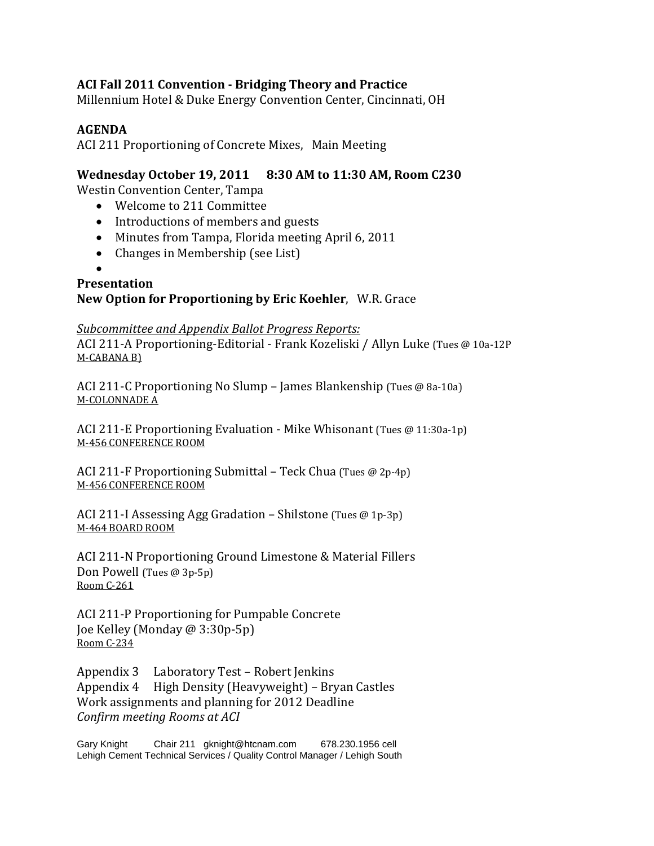# **ACI Fall 2011 Convention ‐ Bridging Theory and Practice**

Millennium Hotel & Duke Energy Convention Center, Cincinnati, OH

## **AGENDA**

ACI 211 Proportioning of Concrete Mixes, Main Meeting

## **Wednesday October 19, 2011 8:30 AM to 11:30 AM, Room C230**

Westin Convention Center, Tampa

- Welcome to 211 Committee
- Introductions of members and guests
- Minutes from Tampa, Florida meeting April 6, 2011
- $\bullet$  Changes in Membership (see List)
- $\bullet$

#### **Presentation New Option for Proportioning by Eric Koehler**, W.R. Grace

### *Subcommittee and Appendix Ballot Progress Reports:*

ACI 211-A Proportioning-Editorial - Frank Kozeliski / Allyn Luke (Tues @ 10a-12P) M-CABANA B)

ACI 211-C Proportioning No Slump – James Blankenship (Tues  $@$  8a-10a) M-COLONNADE A

ACI 211-E Proportioning Evaluation - Mike Whisonant (Tues @ 11:30a-1p) M-456 CONFERENCE ROOM

ACI 211-F Proportioning Submittal – Teck Chua (Tues  $@2p-4p$ ) M-456 CONFERENCE ROOM

ACI 211-I Assessing Agg Gradation – Shilstone (Tues  $@$  1p-3p) M‐464 BOARD ROOM 

ACI 211-N Proportioning Ground Limestone & Material Fillers Don Powell (Tues  $@3p-5p$ ) Room C‐261 

ACI 211-P Proportioning for Pumpable Concrete Joe Kelley (Monday @ 3:30p-5p) Room C‐234

Appendix 3 Laboratory Test – Robert Jenkins Appendix 4 High Density (Heavyweight) - Bryan Castles Work assignments and planning for 2012 Deadline *Confirm meeting Rooms at ACI*

Gary Knight Chair 211 gknight@htcnam.com 678.230.1956 cell Lehigh Cement Technical Services / Quality Control Manager / Lehigh South